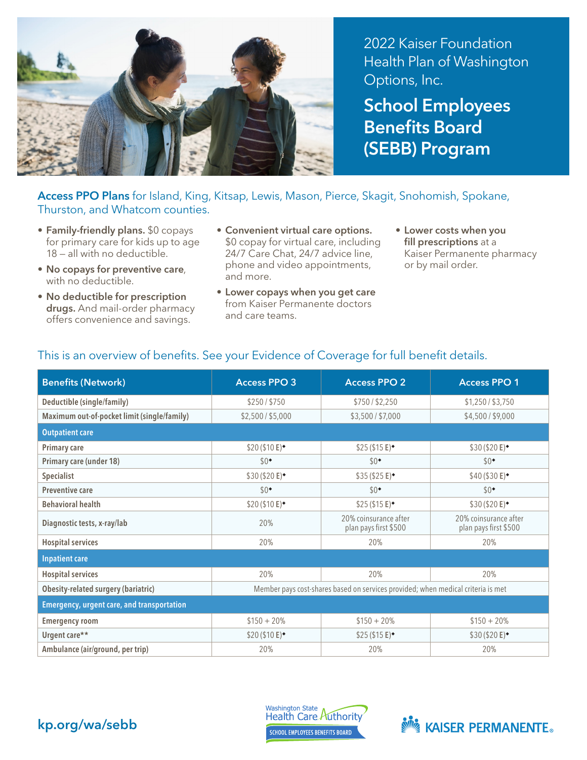

2022 Kaiser Foundation Health Plan of Washington Options, Inc.

School Employees Benefits Board (SEBB) Program

## Access PPO Plans for Island, King, Kitsap, Lewis, Mason, Pierce, Skagit, Snohomish, Spokane, Thurston, and Whatcom counties.

- Family-friendly plans. \$0 copays for primary care for kids up to age 18 — all with no deductible.
- No copays for preventive care, with no deductible.
- No deductible for prescription drugs. And mail-order pharmacy offers convenience and savings.
- Convenient virtual care options. \$0 copay for virtual care, including 24/7 Care Chat, 24/7 advice line, phone and video appointments, and more.
- Lower copays when you get care from Kaiser Permanente doctors and care teams.
- Lower costs when you fill prescriptions at a Kaiser Permanente pharmacy or by mail order.

| <b>Benefits (Network)</b>                         | <b>Access PPO 3</b>                                                              | <b>Access PPO 2</b>                            | <b>Access PPO 1</b>                            |  |  |
|---------------------------------------------------|----------------------------------------------------------------------------------|------------------------------------------------|------------------------------------------------|--|--|
| Deductible (single/family)                        | \$250/\$750                                                                      | \$750/\$2,250                                  | \$1,250 / \$3,750                              |  |  |
| Maximum out-of-pocket limit (single/family)       | \$2,500 / \$5,000                                                                | \$3,500 / \$7,000                              | \$4,500/\$9,000                                |  |  |
| <b>Outpatient care</b>                            |                                                                                  |                                                |                                                |  |  |
| <b>Primary care</b>                               | \$20 (\$10 E) <sup>*</sup>                                                       | $$25 ($15 \text{ E})$                          | $$30 ($20 E)^{\bullet}$                        |  |  |
| Primary care (under 18)                           | $$0^{\bullet}$                                                                   | $$0^{\bullet}$                                 | $$0^{\bullet}$                                 |  |  |
| Specialist                                        | \$30 (\$20 E)                                                                    | $$35 ($25 E)^{\bullet}$                        | $$40 ($30 E)^{\bullet}$                        |  |  |
| <b>Preventive care</b>                            | $$0^{\bullet}$                                                                   | $$0^{\bullet}$                                 | $$0^{\bullet}$                                 |  |  |
| <b>Behavioral health</b>                          | \$20 (\$10 E)                                                                    | $$25 ($15 \text{ E})$                          | \$30 (\$20 E) <sup>*</sup>                     |  |  |
| Diagnostic tests, x-ray/lab                       | 20%                                                                              | 20% coinsurance after<br>plan pays first \$500 | 20% coinsurance after<br>plan pays first \$500 |  |  |
| <b>Hospital services</b>                          | 20%                                                                              | 20%                                            | 20%                                            |  |  |
| <b>Inpatient care</b>                             |                                                                                  |                                                |                                                |  |  |
| <b>Hospital services</b>                          | 20%                                                                              | 20%                                            | 20%                                            |  |  |
| <b>Obesity-related surgery (bariatric)</b>        | Member pays cost-shares based on services provided; when medical criteria is met |                                                |                                                |  |  |
| <b>Emergency, urgent care, and transportation</b> |                                                                                  |                                                |                                                |  |  |
| <b>Emergency room</b>                             | $$150 + 20\%$                                                                    | $$150 + 20\%$                                  | $$150 + 20\%$                                  |  |  |
| Urgent care**                                     | $$20 ($10 E)^{\bullet}$                                                          | \$25(\$15 E)                                   | $$30 ($20 E)^{\bullet}$                        |  |  |
| Ambulance (air/ground, per trip)                  | 20%                                                                              | 20%                                            | 20%                                            |  |  |

## This is an overview of benefits. See your Evidence of Coverage for full benefit details.



Washington State<br>Health Care Authority **SCHOOL EMPLOYEES BENEFITS BOARD**